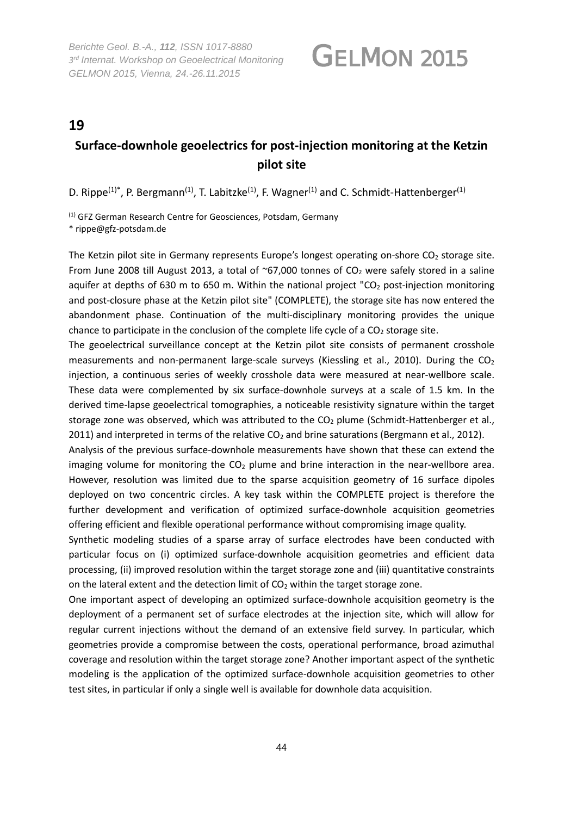*Berichte Geol. B.-A., 112, ISSN 1017*‐*8880 3rd Internat. Workshop on Geoelectrical Monitoring GELMON 2015, Vienna, 24.-26.11.2015* 

## GELMON 2015

### **19**

### **Surface-downhole geoelectrics for post-injection monitoring at the Ketzin pilot site**

D. Rippe<sup>(1)\*</sup>, P. Bergmann<sup>(1)</sup>, T. Labitzke<sup>(1)</sup>, F. Wagner<sup>(1)</sup> and C. Schmidt-Hattenberger<sup>(1)</sup>

(1) GFZ German Research Centre for Geosciences, Potsdam, Germany \* rippe@gfz-potsdam.de

The Ketzin pilot site in Germany represents Europe's longest operating on-shore CO<sub>2</sub> storage site. From June 2008 till August 2013, a total of ~67,000 tonnes of  $CO<sub>2</sub>$  were safely stored in a saline aquifer at depths of 630 m to 650 m. Within the national project " $CO<sub>2</sub>$  post-injection monitoring and post-closure phase at the Ketzin pilot site" (COMPLETE), the storage site has now entered the abandonment phase. Continuation of the multi-disciplinary monitoring provides the unique chance to participate in the conclusion of the complete life cycle of a  $CO<sub>2</sub>$  storage site.

The geoelectrical surveillance concept at the Ketzin pilot site consists of permanent crosshole measurements and non-permanent large-scale surveys (Kiessling et al., 2010). During the  $CO<sub>2</sub>$ injection, a continuous series of weekly crosshole data were measured at near-wellbore scale. These data were complemented by six surface-downhole surveys at a scale of 1.5 km. In the derived time-lapse geoelectrical tomographies, a noticeable resistivity signature within the target storage zone was observed, which was attributed to the  $CO<sub>2</sub>$  plume (Schmidt-Hattenberger et al., 2011) and interpreted in terms of the relative  $CO<sub>2</sub>$  and brine saturations (Bergmann et al., 2012).

Analysis of the previous surface-downhole measurements have shown that these can extend the imaging volume for monitoring the  $CO<sub>2</sub>$  plume and brine interaction in the near-wellbore area. However, resolution was limited due to the sparse acquisition geometry of 16 surface dipoles deployed on two concentric circles. A key task within the COMPLETE project is therefore the further development and verification of optimized surface-downhole acquisition geometries offering efficient and flexible operational performance without compromising image quality.

Synthetic modeling studies of a sparse array of surface electrodes have been conducted with particular focus on (i) optimized surface-downhole acquisition geometries and efficient data processing, (ii) improved resolution within the target storage zone and (iii) quantitative constraints on the lateral extent and the detection limit of  $CO<sub>2</sub>$  within the target storage zone.

One important aspect of developing an optimized surface-downhole acquisition geometry is the deployment of a permanent set of surface electrodes at the injection site, which will allow for regular current injections without the demand of an extensive field survey. In particular, which geometries provide a compromise between the costs, operational performance, broad azimuthal coverage and resolution within the target storage zone? Another important aspect of the synthetic modeling is the application of the optimized surface-downhole acquisition geometries to other test sites, in particular if only a single well is available for downhole data acquisition.